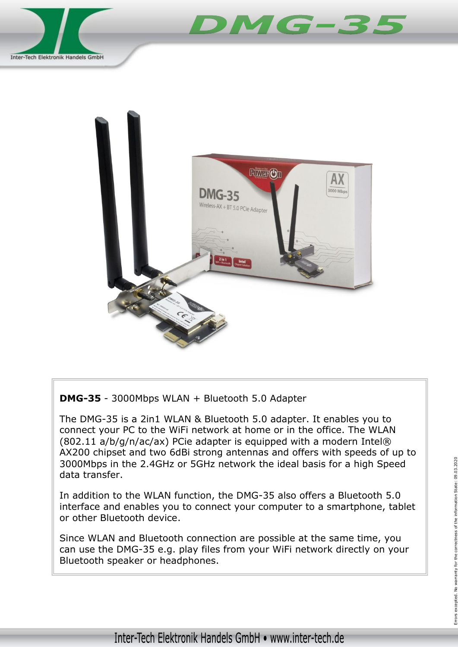



**DMG-35** - 3000Mbps WLAN + Bluetooth 5.0 Adapter

The DMG-35 is a 2in1 WLAN & Bluetooth 5.0 adapter. It enables you to connect your PC to the WiFi network at home or in the office. The WLAN (802.11 a/b/g/n/ac/ax) PCie adapter is equipped with a modern Intel® AX200 chipset and two 6dBi strong antennas and offers with speeds of up to 3000Mbps in the 2.4GHz or 5GHz network the ideal basis for a high Speed data transfer.

In addition to the WLAN function, the DMG-35 also offers a Bluetooth 5.0 interface and enables you to connect your computer to a smartphone, tablet or other Bluetooth device.

Since WLAN and Bluetooth connection are possible at the same time, you can use the DMG-35 e.g. play files from your WiFi network directly on your Bluetooth speaker or headphones.